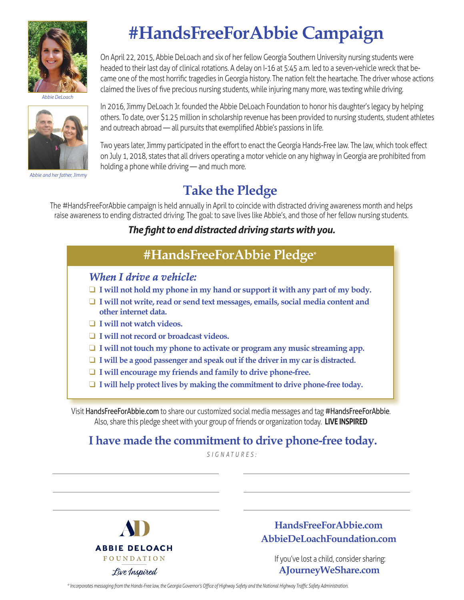

*Abbie DeLoach*



*Abbie and her father, Jimmy*

# **#HandsFreeForAbbie Campaign**

On April 22, 2015, Abbie DeLoach and six of her fellow Georgia Southern University nursing students were headed to their last day of clinical rotations. A delay on I-16 at 5:45 a.m. led to a seven-vehicle wreck that became one of the most horrific tragedies in Georgia history. The nation felt the heartache. The driver whose actions claimed the lives of five precious nursing students, while injuring many more, was texting while driving.

In 2016, Jimmy DeLoach Jr. founded the Abbie DeLoach Foundation to honor his daughter's legacy by helping others. To date, over \$1.25 million in scholarship revenue has been provided to nursing students, student athletes and outreach abroad — all pursuits that exemplified Abbie's passions in life.

Two years later, Jimmy participated in the effort to enact the Georgia Hands-Free law. The law, which took effect on July 1, 2018, states that all drivers operating a motor vehicle on any highway in Georgia are prohibited from holding a phone while driving — and much more.

## **Take the Pledge**

The #HandsFreeForAbbie campaign is held annually in April to coincide with distracted driving awareness month and helps raise awareness to ending distracted driving. The goal: to save lives like Abbie's, and those of her fellow nursing students.

#### *The fight to end distracted driving starts with you.*

### **#HandsFreeForAbbie Pledge\***

#### *When I drive a vehicle:*

- $\Box$  **I** will not hold my phone in my hand or support it with any part of my body.
- □ **I** will not write, read or send text messages, emails, social media content and  **other internet data.**
- □ **I** will not watch videos.
- □ **I** will not record or broadcast videos.
- **□ I will not touch my phone to activate or program any music streaming app.**
- $\Box$  **I** will be a good passenger and speak out if the driver in my car is distracted.
- □ **I** will encourage my friends and family to drive phone-free.
- **□ I will help protect lives by making the commitment to drive phone-free today.**

Visit HandsFreeForAbbie.com to share our customized social media messages and tag #HandsFreeForAbbie. Also, share this pledge sheet with your group of friends or organization today. **LIVE INSPIRED**

### **I have made the commitment to drive phone-free today.**

*SIGNATURES:*



**HandsFreeForAbbie.com AbbieDeLoachFoundation.com**

 If you've lost a child, consider sharing: **AJourneyWeShare.com**

*\* Incorporates messaging from the Hands-Free law, the Georgia Governor's Office of Highway Safety and the National Highway Traffic Safety Administration.*